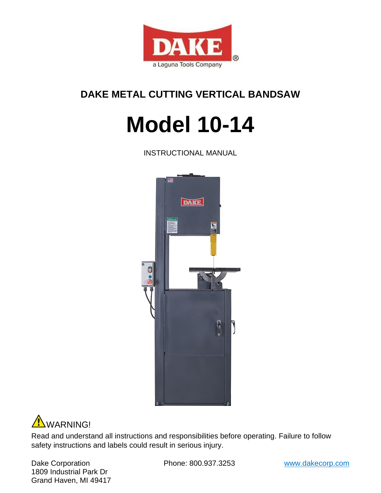

# **DAKE METAL CUTTING VERTICAL BANDSAW**

# **Model 10-14**

INSTRUCTIONAL MANUAL





Read and understand all instructions and responsibilities before operating. Failure to follow safety instructions and labels could result in serious injury.

Dake Corporation **Phone: 800.937.3253** www.dakecorp.com 1809 Industrial Park Dr Grand Haven, MI 49417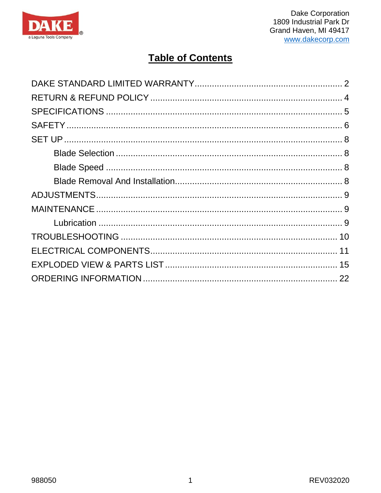

# **Table of Contents**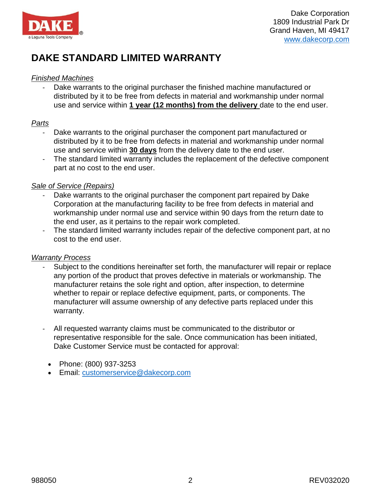

# <span id="page-2-0"></span>**DAKE STANDARD LIMITED WARRANTY**

## *Finished Machines*

Dake warrants to the original purchaser the finished machine manufactured or distributed by it to be free from defects in material and workmanship under normal use and service within **1 year (12 months) from the delivery** date to the end user.

## *Parts*

- Dake warrants to the original purchaser the component part manufactured or distributed by it to be free from defects in material and workmanship under normal use and service within **30 days** from the delivery date to the end user.
- The standard limited warranty includes the replacement of the defective component part at no cost to the end user.

## *Sale of Service (Repairs)*

- Dake warrants to the original purchaser the component part repaired by Dake Corporation at the manufacturing facility to be free from defects in material and workmanship under normal use and service within 90 days from the return date to the end user, as it pertains to the repair work completed.
- The standard limited warranty includes repair of the defective component part, at no cost to the end user.

## *Warranty Process*

- Subject to the conditions hereinafter set forth, the manufacturer will repair or replace any portion of the product that proves defective in materials or workmanship. The manufacturer retains the sole right and option, after inspection, to determine whether to repair or replace defective equipment, parts, or components. The manufacturer will assume ownership of any defective parts replaced under this warranty.
- All requested warranty claims must be communicated to the distributor or representative responsible for the sale. Once communication has been initiated, Dake Customer Service must be contacted for approval:
	- Phone: (800) 937-3253
	- Email: customerservice@dakecorp.com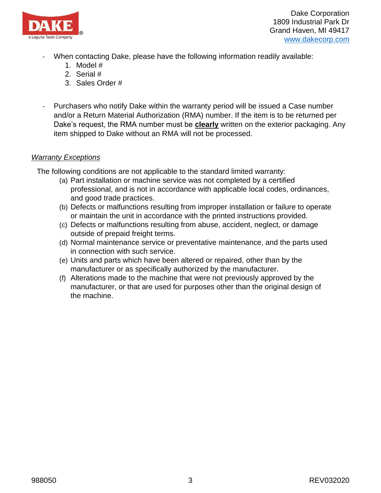

- When contacting Dake, please have the following information readily available:
	- 1. Model #
	- 2. Serial #
	- 3. Sales Order #
- Purchasers who notify Dake within the warranty period will be issued a Case number and/or a Return Material Authorization (RMA) number. If the item is to be returned per Dake's request, the RMA number must be **clearly** written on the exterior packaging. Any item shipped to Dake without an RMA will not be processed.

## *Warranty Exceptions*

The following conditions are not applicable to the standard limited warranty:

- (a) Part installation or machine service was not completed by a certified professional, and is not in accordance with applicable local codes, ordinances, and good trade practices.
- (b) Defects or malfunctions resulting from improper installation or failure to operate or maintain the unit in accordance with the printed instructions provided.
- (c) Defects or malfunctions resulting from abuse, accident, neglect, or damage outside of prepaid freight terms.
- (d) Normal maintenance service or preventative maintenance, and the parts used in connection with such service.
- (e) Units and parts which have been altered or repaired, other than by the manufacturer or as specifically authorized by the manufacturer.
- (f) Alterations made to the machine that were not previously approved by the manufacturer, or that are used for purposes other than the original design of the machine.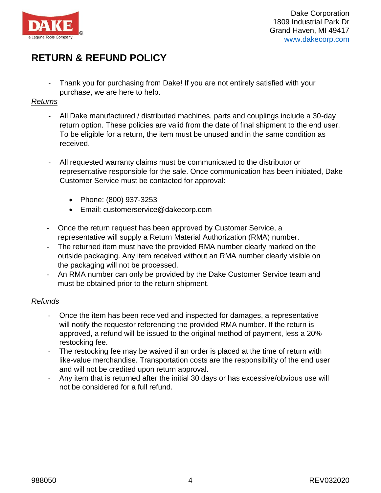

# <span id="page-4-0"></span>**RETURN & REFUND POLICY**

- Thank you for purchasing from Dake! If you are not entirely satisfied with your purchase, we are here to help.

#### *Returns*

- All Dake manufactured / distributed machines, parts and couplings include a 30-day return option. These policies are valid from the date of final shipment to the end user. To be eligible for a return, the item must be unused and in the same condition as received.
- All requested warranty claims must be communicated to the distributor or representative responsible for the sale. Once communication has been initiated, Dake Customer Service must be contacted for approval:
	- Phone: (800) 937-3253
	- Email: customerservice@dakecorp.com
- Once the return request has been approved by Customer Service, a representative will supply a Return Material Authorization (RMA) number.
- The returned item must have the provided RMA number clearly marked on the outside packaging. Any item received without an RMA number clearly visible on the packaging will not be processed.
- An RMA number can only be provided by the Dake Customer Service team and must be obtained prior to the return shipment.

## *Refunds*

- Once the item has been received and inspected for damages, a representative will notify the requestor referencing the provided RMA number. If the return is approved, a refund will be issued to the original method of payment, less a 20% restocking fee.
- The restocking fee may be waived if an order is placed at the time of return with like-value merchandise. Transportation costs are the responsibility of the end user and will not be credited upon return approval.
- Any item that is returned after the initial 30 days or has excessive/obvious use will not be considered for a full refund.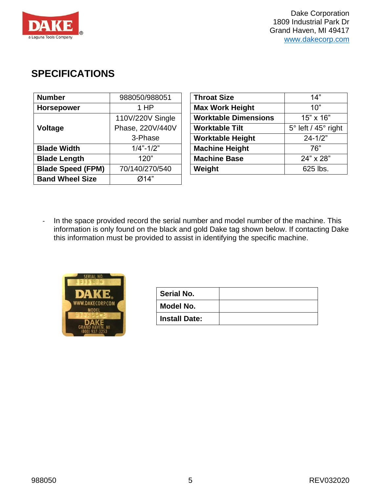

# <span id="page-5-0"></span>**SPECIFICATIONS**

| <b>Number</b>            | 988050/988051    | <b>Throat Size</b>          | 14"                            |
|--------------------------|------------------|-----------------------------|--------------------------------|
| <b>Horsepower</b>        | 1 HP             | <b>Max Work Height</b>      | 10"                            |
|                          | 110V/220V Single | <b>Worktable Dimensions</b> | 15" x 16"                      |
| <b>Voltage</b>           | Phase, 220V/440V | <b>Worktable Tilt</b>       | $5^\circ$ left / 45 $^\circ$ r |
|                          | 3-Phase          | <b>Worktable Height</b>     | $24 - 1/2"$                    |
| <b>Blade Width</b>       | $1/4$ "- $1/2$ " | <b>Machine Height</b>       | 76"                            |
| <b>Blade Length</b>      | 120"             | <b>Machine Base</b>         | 24" x 28"                      |
| <b>Blade Speed (FPM)</b> | 70/140/270/540   | Weight                      | 625 lbs.                       |
| <b>Band Wheel Size</b>   | Ø14"             |                             |                                |

| <b>Throat Size</b>          | 14"                               |
|-----------------------------|-----------------------------------|
| <b>Max Work Height</b>      | 10"                               |
| <b>Worktable Dimensions</b> | 15" x 16"                         |
| <b>Worktable Tilt</b>       | $5^\circ$ left / $45^\circ$ right |
| <b>Worktable Height</b>     | $24 - 1/2"$                       |
| <b>Machine Height</b>       | 76"                               |
| <b>Machine Base</b>         | 24" x 28"                         |
| Weight                      | 625 lbs.                          |

- In the space provided record the serial number and model number of the machine. This information is only found on the black and gold Dake tag shown below. If contacting Dake this information must be provided to assist in identifying the specific machine.



| <b>Serial No.</b>    |  |
|----------------------|--|
| Model No.            |  |
| <b>Install Date:</b> |  |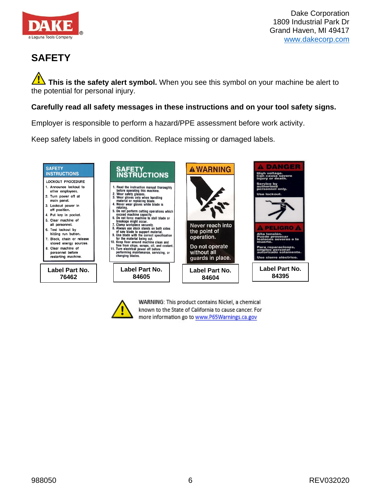

# <span id="page-6-0"></span>**SAFETY**

**This is the safety alert symbol.** When you see this symbol on your machine be alert to the potential for personal injury.

## **Carefully read all safety messages in these instructions and on your tool safety signs.**

Employer is responsible to perform a hazard/PPE assessment before work activity.

Keep safety labels in good condition. Replace missing or damaged labels.





WARNING: This product contains Nickel, a chemical known to the State of California to cause cancer. For more information go to www.P65Warnings.ca.gov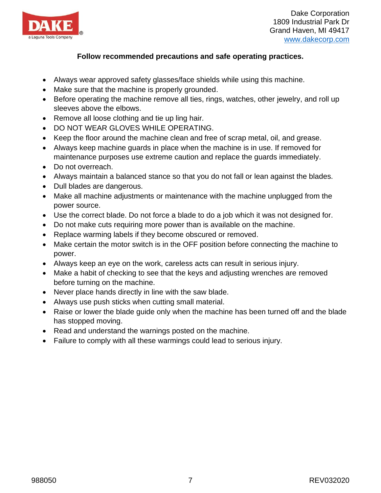

# **Follow recommended precautions and safe operating practices.**

- Always wear approved safety glasses/face shields while using this machine.
- Make sure that the machine is properly grounded.
- Before operating the machine remove all ties, rings, watches, other jewelry, and roll up sleeves above the elbows.
- Remove all loose clothing and tie up ling hair.
- DO NOT WEAR GLOVES WHILE OPERATING.
- Keep the floor around the machine clean and free of scrap metal, oil, and grease.
- Always keep machine guards in place when the machine is in use. If removed for maintenance purposes use extreme caution and replace the guards immediately.
- Do not overreach.
- Always maintain a balanced stance so that you do not fall or lean against the blades.
- Dull blades are dangerous.
- Make all machine adjustments or maintenance with the machine unplugged from the power source.
- Use the correct blade. Do not force a blade to do a job which it was not designed for.
- Do not make cuts requiring more power than is available on the machine.
- Replace warming labels if they become obscured or removed.
- Make certain the motor switch is in the OFF position before connecting the machine to power.
- Always keep an eye on the work, careless acts can result in serious injury.
- Make a habit of checking to see that the keys and adjusting wrenches are removed before turning on the machine.
- Never place hands directly in line with the saw blade.
- Always use push sticks when cutting small material.
- Raise or lower the blade guide only when the machine has been turned off and the blade has stopped moving.
- Read and understand the warnings posted on the machine.
- Failure to comply with all these warmings could lead to serious injury.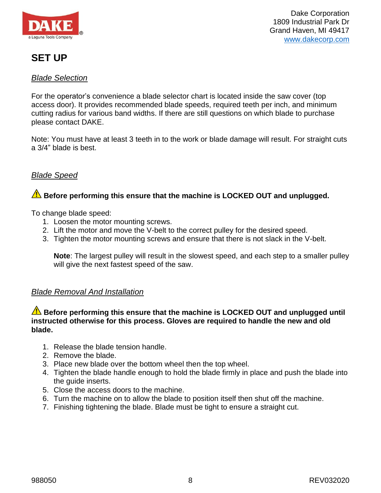

# <span id="page-8-0"></span>**SET UP**

## <span id="page-8-1"></span>*Blade Selection*

For the operator's convenience a blade selector chart is located inside the saw cover (top access door). It provides recommended blade speeds, required teeth per inch, and minimum cutting radius for various band widths. If there are still questions on which blade to purchase please contact DAKE.

Note: You must have at least 3 teeth in to the work or blade damage will result. For straight cuts a 3/4" blade is best.

# <span id="page-8-2"></span>*Blade Speed*

# **Before performing this ensure that the machine is LOCKED OUT and unplugged.**

To change blade speed:

- 1. Loosen the motor mounting screws.
- 2. Lift the motor and move the V-belt to the correct pulley for the desired speed.
- 3. Tighten the motor mounting screws and ensure that there is not slack in the V-belt.

**Note**: The largest pulley will result in the slowest speed, and each step to a smaller pulley will give the next fastest speed of the saw.

## <span id="page-8-3"></span>*Blade Removal And Installation*

## **Before performing this ensure that the machine is LOCKED OUT and unplugged until instructed otherwise for this process. Gloves are required to handle the new and old blade.**

- 1. Release the blade tension handle.
- 2. Remove the blade.
- 3. Place new blade over the bottom wheel then the top wheel.
- 4. Tighten the blade handle enough to hold the blade firmly in place and push the blade into the guide inserts.
- 5. Close the access doors to the machine.
- 6. Turn the machine on to allow the blade to position itself then shut off the machine.
- 7. Finishing tightening the blade. Blade must be tight to ensure a straight cut.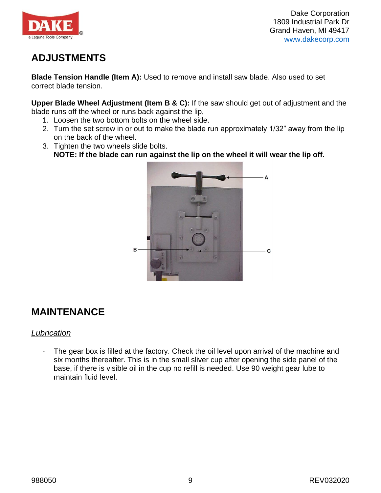

# <span id="page-9-0"></span>**ADJUSTMENTS**

**Blade Tension Handle (Item A):** Used to remove and install saw blade. Also used to set correct blade tension.

**Upper Blade Wheel Adjustment (Item B & C):** If the saw should get out of adjustment and the blade runs off the wheel or runs back against the lip,

- 1. Loosen the two bottom bolts on the wheel side.
- 2. Turn the set screw in or out to make the blade run approximately 1/32" away from the lip on the back of the wheel.
- 3. Tighten the two wheels slide bolts. **NOTE: If the blade can run against the lip on the wheel it will wear the lip off.**



# <span id="page-9-1"></span>**MAINTENANCE**

## <span id="page-9-2"></span>*Lubrication*

- The gear box is filled at the factory. Check the oil level upon arrival of the machine and six months thereafter. This is in the small sliver cup after opening the side panel of the base, if there is visible oil in the cup no refill is needed. Use 90 weight gear lube to maintain fluid level.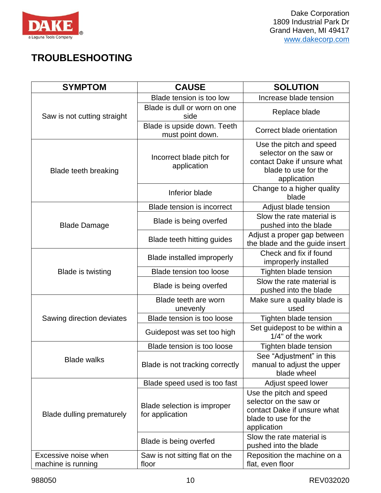

# <span id="page-10-0"></span>**TROUBLESHOOTING**

| <b>SYMPTOM</b>                             | <b>CAUSE</b>                                    | <b>SOLUTION</b>                                                                                                         |
|--------------------------------------------|-------------------------------------------------|-------------------------------------------------------------------------------------------------------------------------|
|                                            | Blade tension is too low                        | Increase blade tension                                                                                                  |
| Saw is not cutting straight                | Blade is dull or worn on one<br>side            | Replace blade                                                                                                           |
|                                            | Blade is upside down. Teeth<br>must point down. | Correct blade orientation                                                                                               |
| <b>Blade teeth breaking</b>                | Incorrect blade pitch for<br>application        | Use the pitch and speed<br>selector on the saw or<br>contact Dake if unsure what<br>blade to use for the<br>application |
|                                            | Inferior blade                                  | Change to a higher quality<br>blade                                                                                     |
|                                            | <b>Blade tension is incorrect</b>               | Adjust blade tension                                                                                                    |
| <b>Blade Damage</b>                        | Blade is being overfed                          | Slow the rate material is<br>pushed into the blade                                                                      |
|                                            | <b>Blade teeth hitting guides</b>               | Adjust a proper gap between<br>the blade and the guide insert                                                           |
|                                            | <b>Blade installed improperly</b>               | Check and fix if found<br>improperly installed                                                                          |
| <b>Blade is twisting</b>                   | <b>Blade tension too loose</b>                  | Tighten blade tension                                                                                                   |
|                                            | Blade is being overfed                          | Slow the rate material is<br>pushed into the blade                                                                      |
|                                            | Blade teeth are worn<br>unevenly                | Make sure a quality blade is<br>used                                                                                    |
| Sawing direction deviates                  | Blade tension is too loose                      | Tighten blade tension                                                                                                   |
|                                            | Guidepost was set too high                      | Set guidepost to be within a<br>1/4" of the work                                                                        |
|                                            | Blade tension is too loose                      | Tighten blade tension                                                                                                   |
| <b>Blade walks</b>                         | Blade is not tracking correctly                 | See "Adjustment" in this<br>manual to adjust the upper<br>blade wheel                                                   |
|                                            | Blade speed used is too fast                    | Adjust speed lower                                                                                                      |
| Blade dulling prematurely                  | Blade selection is improper<br>for application  | Use the pitch and speed<br>selector on the saw or<br>contact Dake if unsure what<br>blade to use for the<br>application |
|                                            | Blade is being overfed                          | Slow the rate material is<br>pushed into the blade                                                                      |
| Excessive noise when<br>machine is running | Saw is not sitting flat on the<br>floor         | Reposition the machine on a<br>flat, even floor                                                                         |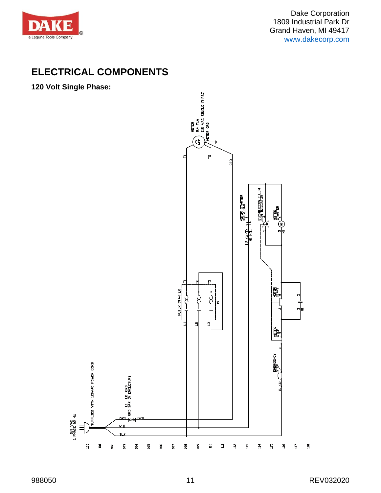

# <span id="page-11-0"></span>**ELECTRICAL COMPONENTS**

**120 Volt Single Phase:**

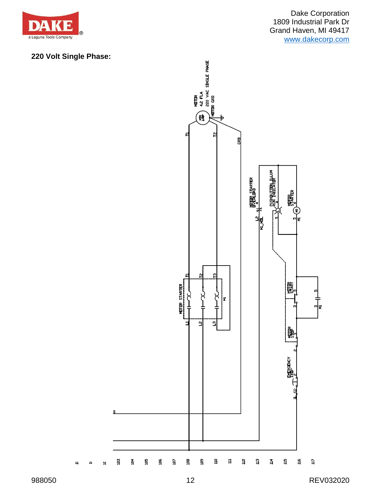

# **220 Volt Single Phase:**

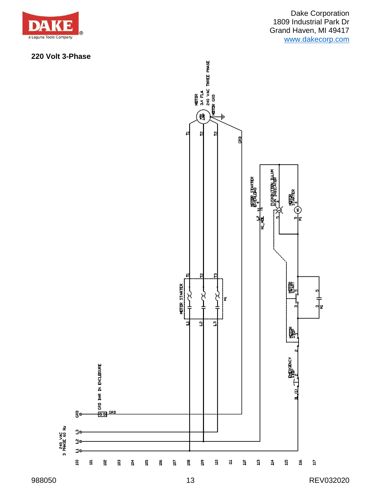

## **220 Volt 3-Phase**

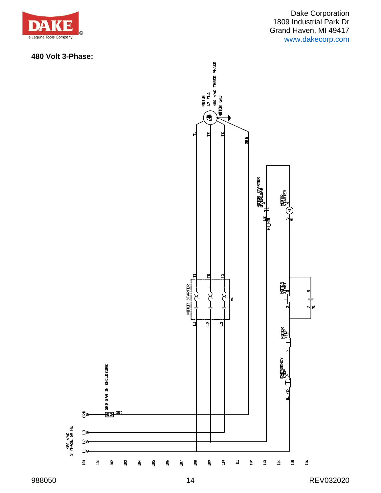

## **480 Volt 3-Phase:**

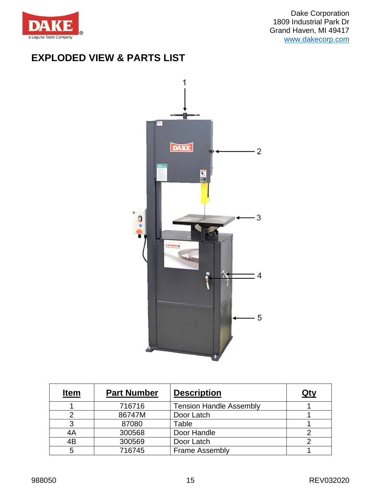

# <span id="page-15-0"></span>**EXPLODED VIEW & PARTS LIST**



| <b>Item</b> | <b>Part Number</b> | <b>Description</b>             | Qty |
|-------------|--------------------|--------------------------------|-----|
|             | 716716             | <b>Tension Handle Assembly</b> |     |
|             | 86747M             | Door Latch                     |     |
|             | 87080              | Table                          |     |
| 4A          | 300568             | Door Handle                    |     |
| 4B          | 300569             | Door Latch                     |     |
| 5           | 716745             | <b>Frame Assembly</b>          |     |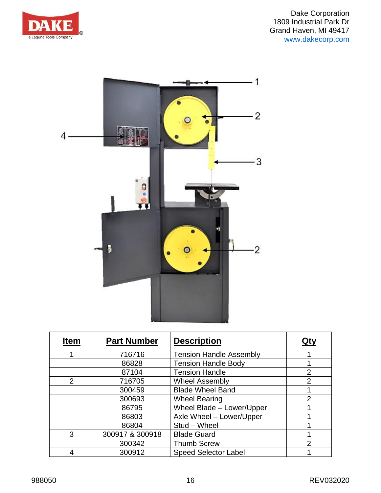



| <b>Item</b> | <b>Part Number</b> | <b>Description</b>             | Qty            |
|-------------|--------------------|--------------------------------|----------------|
|             | 716716             | <b>Tension Handle Assembly</b> |                |
|             | 86828              | <b>Tension Handle Body</b>     |                |
|             | 87104              | <b>Tension Handle</b>          | $\overline{2}$ |
| 2           | 716705             | <b>Wheel Assembly</b>          | $\overline{2}$ |
|             | 300459             | <b>Blade Wheel Band</b>        |                |
|             | 300693             | <b>Wheel Bearing</b>           | $\overline{2}$ |
|             | 86795              | Wheel Blade - Lower/Upper      |                |
|             | 86803              | Axle Wheel - Lower/Upper       |                |
|             | 86804              | Stud - Wheel                   |                |
| 3           | 300917 & 300918    | <b>Blade Guard</b>             |                |
|             | 300342             | <b>Thumb Screw</b>             | っ              |
|             | 300912             | <b>Speed Selector Label</b>    |                |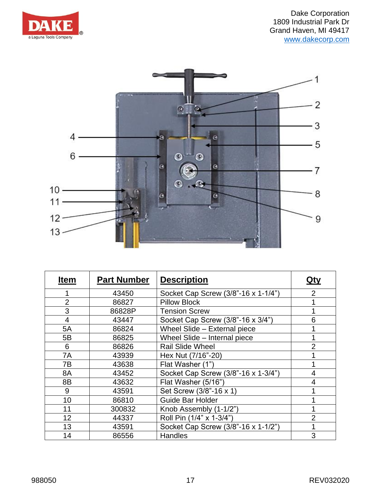



| <b>Item</b>    | <b>Part Number</b> | <b>Description</b>                  | <u>Qty</u>     |
|----------------|--------------------|-------------------------------------|----------------|
|                | 43450              | Socket Cap Screw (3/8"-16 x 1-1/4") | $\overline{2}$ |
| $\overline{2}$ | 86827              | <b>Pillow Block</b>                 |                |
| 3              | 86828P             | <b>Tension Screw</b>                |                |
| 4              | 43447              | Socket Cap Screw (3/8"-16 x 3/4")   | 6              |
| 5A             | 86824              | Wheel Slide - External piece        | 1              |
| 5B             | 86825              | Wheel Slide - Internal piece        |                |
| 6              | 86826              | <b>Rail Slide Wheel</b>             | $\overline{2}$ |
| 7A             | 43939              | Hex Nut (7/16"-20)                  | 1              |
| 7В             | 43638              | Flat Washer (1")                    | 1              |
| 8A             | 43452              | Socket Cap Screw (3/8"-16 x 1-3/4") | 4              |
| 8B             | 43632              | Flat Washer (5/16")                 | 4              |
| 9              | 43591              | Set Screw (3/8"-16 x 1)             |                |
| 10             | 86810              | <b>Guide Bar Holder</b>             |                |
| 11             | 300832             | Knob Assembly (1-1/2")              | 1              |
| 12             | 44337              | Roll Pin (1/4" x 1-3/4")            | $\overline{2}$ |
| 13             | 43591              | Socket Cap Screw (3/8"-16 x 1-1/2") | 1              |
| 14             | 86556              | <b>Handles</b>                      | 3              |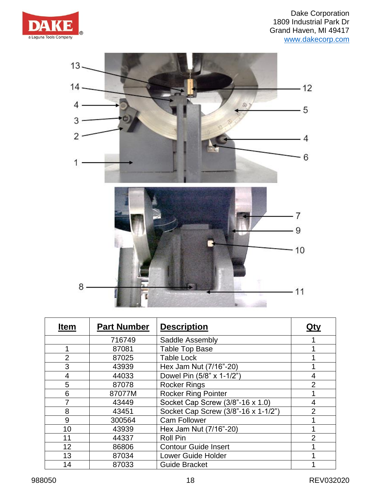



| <b>Item</b>    | <b>Part Number</b> | <b>Description</b>                  | <u>Qty</u>     |
|----------------|--------------------|-------------------------------------|----------------|
|                | 716749             | Saddle Assembly                     |                |
|                | 87081              | <b>Table Top Base</b>               |                |
| $\overline{2}$ | 87025              | <b>Table Lock</b>                   |                |
| 3              | 43939              | Hex Jam Nut (7/16"-20)              |                |
| 4              | 44033              | Dowel Pin (5/8" x 1-1/2")           | $\overline{4}$ |
| 5              | 87078              | <b>Rocker Rings</b>                 | $\overline{2}$ |
| 6              | 87077M             | <b>Rocker Ring Pointer</b>          |                |
|                | 43449              | Socket Cap Screw (3/8"-16 x 1.0)    | 4              |
| 8              | 43451              | Socket Cap Screw (3/8"-16 x 1-1/2") | $\overline{2}$ |
| 9              | 300564             | <b>Cam Follower</b>                 |                |
| 10             | 43939              | Hex Jam Nut (7/16"-20)              |                |
| 11             | 44337              | <b>Roll Pin</b>                     | $\overline{2}$ |
| 12             | 86806              | <b>Contour Guide Insert</b>         |                |
| 13             | 87034              | <b>Lower Guide Holder</b>           |                |
| 14             | 87033              | <b>Guide Bracket</b>                |                |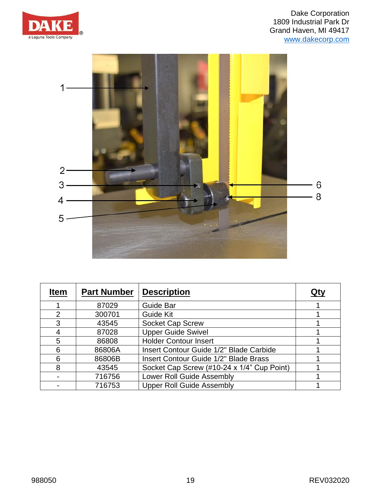



| <b>Item</b>    | <b>Part Number</b> | <b>Description</b>                         | Qty |
|----------------|--------------------|--------------------------------------------|-----|
|                | 87029              | <b>Guide Bar</b>                           |     |
| $\overline{2}$ | 300701             | <b>Guide Kit</b>                           |     |
| 3              | 43545              | <b>Socket Cap Screw</b>                    |     |
| 4              | 87028              | <b>Upper Guide Swivel</b>                  |     |
| 5              | 86808              | <b>Holder Contour Insert</b>               |     |
| 6              | 86806A             | Insert Contour Guide 1/2" Blade Carbide    |     |
| 6              | 86806B             | Insert Contour Guide 1/2" Blade Brass      |     |
| 8              | 43545              | Socket Cap Screw (#10-24 x 1/4" Cup Point) |     |
|                | 716756             | <b>Lower Roll Guide Assembly</b>           |     |
|                | 716753             | <b>Upper Roll Guide Assembly</b>           |     |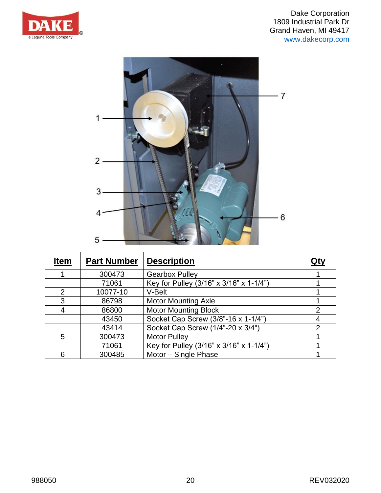



| <b>Item</b>    | <b>Part Number</b> | <b>Description</b>                      | Qty |
|----------------|--------------------|-----------------------------------------|-----|
|                | 300473             | <b>Gearbox Pulley</b>                   |     |
|                | 71061              | Key for Pulley (3/16" x 3/16" x 1-1/4") |     |
| $\overline{2}$ | 10077-10           | V-Belt                                  |     |
| 3              | 86798              | <b>Motor Mounting Axle</b>              |     |
| 4              | 86800              | <b>Motor Mounting Block</b>             | 2   |
|                | 43450              | Socket Cap Screw (3/8"-16 x 1-1/4")     | 4   |
|                | 43414              | Socket Cap Screw (1/4"-20 x 3/4")       | 2   |
| 5              | 300473             | <b>Motor Pulley</b>                     |     |
|                | 71061              | Key for Pulley (3/16" x 3/16" x 1-1/4") |     |
| 6              | 300485             | Motor - Single Phase                    |     |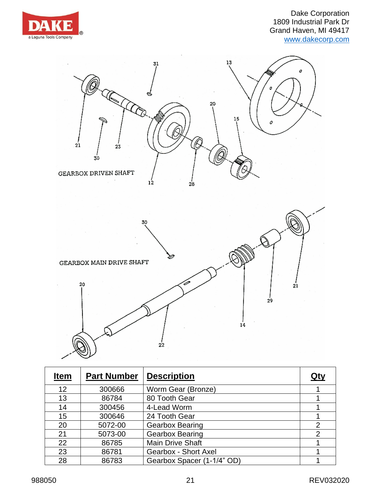





| <b>Item</b> | <b>Part Number</b> | <b>Description</b>         | <u>Qty</u>     |
|-------------|--------------------|----------------------------|----------------|
| 12          | 300666             | Worm Gear (Bronze)         |                |
| 13          | 86784              | 80 Tooth Gear              |                |
| 14          | 300456             | 4-Lead Worm                |                |
| 15          | 300646             | 24 Tooth Gear              |                |
| 20          | 5072-00            | <b>Gearbox Bearing</b>     | $\overline{2}$ |
| 21          | 5073-00            | <b>Gearbox Bearing</b>     | 2              |
| 22          | 86785              | <b>Main Drive Shaft</b>    |                |
| 23          | 86781              | Gearbox - Short Axel       |                |
| 28          | 86783              | Gearbox Spacer (1-1/4" OD) |                |